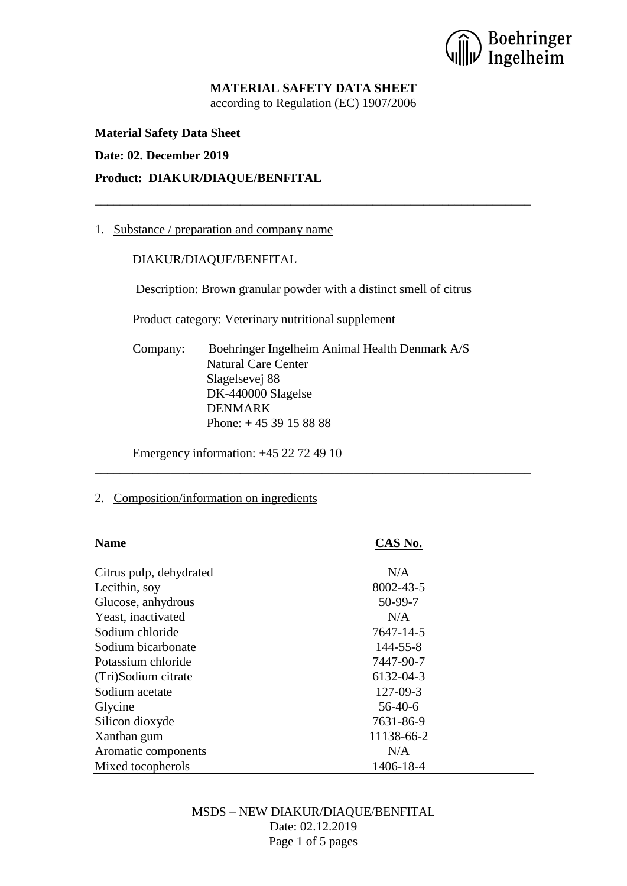) Boehringer<br>) Ingelheim

# **MATERIAL SAFETY DATA SHEET**

according to Regulation (EC) 1907/2006

\_\_\_\_\_\_\_\_\_\_\_\_\_\_\_\_\_\_\_\_\_\_\_\_\_\_\_\_\_\_\_\_\_\_\_\_\_\_\_\_\_\_\_\_\_\_\_\_\_\_\_\_\_\_\_\_\_\_\_\_\_\_\_\_\_\_\_\_\_

**Material Safety Data Sheet**

#### **Date: 02. December 2019**

#### **Product: DIAKUR/DIAQUE/BENFITAL**

#### 1. Substance / preparation and company name

#### DIAKUR/DIAQUE/BENFITAL

Description: Brown granular powder with a distinct smell of citrus

Product category: Veterinary nutritional supplement

Company: Boehringer Ingelheim Animal Health Denmark A/S Natural Care Center Slagelsevej 88 DK-440000 Slagelse DENMARK Phone: + 45 39 15 88 88

\_\_\_\_\_\_\_\_\_\_\_\_\_\_\_\_\_\_\_\_\_\_\_\_\_\_\_\_\_\_\_\_\_\_\_\_\_\_\_\_\_\_\_\_\_\_\_\_\_\_\_\_\_\_\_\_\_\_\_\_\_\_\_\_\_\_\_\_\_

Emergency information: +45 22 72 49 10

#### 2. Composition/information on ingredients

| <b>Name</b>             | CAS No.    |
|-------------------------|------------|
| Citrus pulp, dehydrated | N/A        |
| Lecithin, soy           | 8002-43-5  |
| Glucose, anhydrous      | 50-99-7    |
| Yeast, inactivated      | N/A        |
| Sodium chloride         | 7647-14-5  |
| Sodium bicarbonate      | 144-55-8   |
| Potassium chloride      | 7447-90-7  |
| (Tri)Sodium citrate     | 6132-04-3  |
| Sodium acetate          | 127-09-3   |
| Glycine                 | $56-40-6$  |
| Silicon dioxyde         | 7631-86-9  |
| Xanthan gum             | 11138-66-2 |
| Aromatic components     | N/A        |
| Mixed tocopherols       | 1406-18-4  |

# MSDS – NEW DIAKUR/DIAQUE/BENFITAL Date: 02.12.2019 Page 1 of 5 pages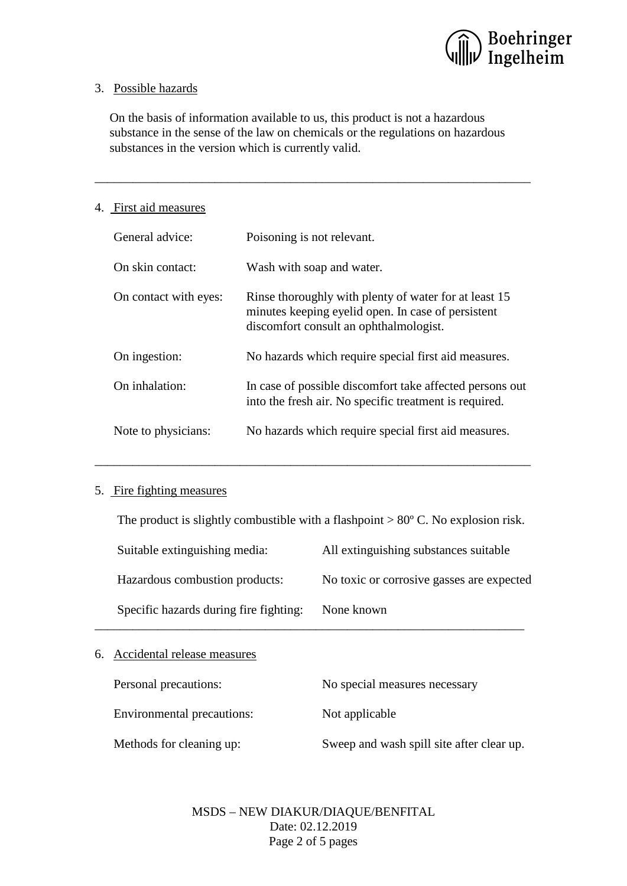

## 3. Possible hazards

On the basis of information available to us, this product is not a hazardous substance in the sense of the law on chemicals or the regulations on hazardous substances in the version which is currently valid.

\_\_\_\_\_\_\_\_\_\_\_\_\_\_\_\_\_\_\_\_\_\_\_\_\_\_\_\_\_\_\_\_\_\_\_\_\_\_\_\_\_\_\_\_\_\_\_\_\_\_\_\_\_\_\_\_\_\_\_\_\_\_\_\_\_\_\_\_\_

## 4. First aid measures

| General advice:       | Poisoning is not relevant.                                                                                                                            |
|-----------------------|-------------------------------------------------------------------------------------------------------------------------------------------------------|
| On skin contact:      | Wash with soap and water.                                                                                                                             |
| On contact with eyes: | Rinse thoroughly with plenty of water for at least 15<br>minutes keeping eyelid open. In case of persistent<br>discomfort consult an ophthalmologist. |
| On ingestion:         | No hazards which require special first aid measures.                                                                                                  |
| On inhalation:        | In case of possible discomfort take affected persons out<br>into the fresh air. No specific treatment is required.                                    |
| Note to physicians:   | No hazards which require special first aid measures.                                                                                                  |

## 5. Fire fighting measures

The product is slightly combustible with a flashpoint  $> 80^{\circ}$  C. No explosion risk.

\_\_\_\_\_\_\_\_\_\_\_\_\_\_\_\_\_\_\_\_\_\_\_\_\_\_\_\_\_\_\_\_\_\_\_\_\_\_\_\_\_\_\_\_\_\_\_\_\_\_\_\_\_\_\_\_\_\_\_\_\_\_\_\_\_\_\_\_\_

| Suitable extinguishing media: |                                        | All extinguishing substances suitable     |  |
|-------------------------------|----------------------------------------|-------------------------------------------|--|
|                               | Hazardous combustion products:         | No toxic or corrosive gasses are expected |  |
|                               | Specific hazards during fire fighting: | None known                                |  |

# 6. Accidental release measures

| Personal precautions:      | No special measures necessary             |  |
|----------------------------|-------------------------------------------|--|
| Environmental precautions: | Not applicable                            |  |
| Methods for cleaning up:   | Sweep and wash spill site after clear up. |  |

MSDS – NEW DIAKUR/DIAQUE/BENFITAL Date: 02.12.2019 Page 2 of 5 pages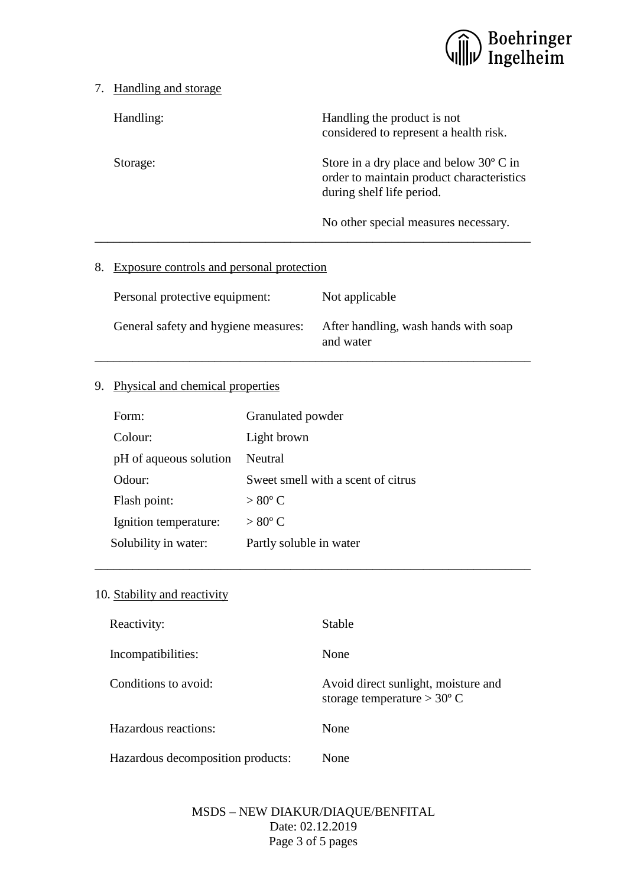

#### 7. Handling and storage

Handling: Handling the product is not considered to represent a health risk.

Storage: Store in a dry place and below 30° C in order to maintain product characteristics during shelf life period.

No other special measures necessary.

## 8. Exposure controls and personal protection

| Personal protective equipment:       | Not applicable                                    |
|--------------------------------------|---------------------------------------------------|
| General safety and hygiene measures: | After handling, wash hands with soap<br>and water |

\_\_\_\_\_\_\_\_\_\_\_\_\_\_\_\_\_\_\_\_\_\_\_\_\_\_\_\_\_\_\_\_\_\_\_\_\_\_\_\_\_\_\_\_\_\_\_\_\_\_\_\_\_\_\_\_\_\_\_\_\_\_\_\_\_\_\_\_\_

# 9. Physical and chemical properties

| Form:                  | Granulated powder                  |
|------------------------|------------------------------------|
| Colour:                | Light brown                        |
| pH of aqueous solution | Neutral                            |
| Odour:                 | Sweet smell with a scent of citrus |
| Flash point:           | $> 80^{\circ}$ C                   |
| Ignition temperature:  | $> 80^{\circ}$ C                   |
| Solubility in water:   | Partly soluble in water            |

## 10. Stability and reactivity

| Reactivity:                       | Stable                                                                      |
|-----------------------------------|-----------------------------------------------------------------------------|
| Incompatibilities:                | None                                                                        |
| Conditions to avoid:              | Avoid direct sunlight, moisture and<br>storage temperature $> 30^{\circ}$ C |
| Hazardous reactions:              | None                                                                        |
| Hazardous decomposition products: | None                                                                        |

\_\_\_\_\_\_\_\_\_\_\_\_\_\_\_\_\_\_\_\_\_\_\_\_\_\_\_\_\_\_\_\_\_\_\_\_\_\_\_\_\_\_\_\_\_\_\_\_\_\_\_\_\_\_\_\_\_\_\_\_\_\_\_\_\_\_\_\_\_

# MSDS – NEW DIAKUR/DIAQUE/BENFITAL Date: 02.12.2019 Page 3 of 5 pages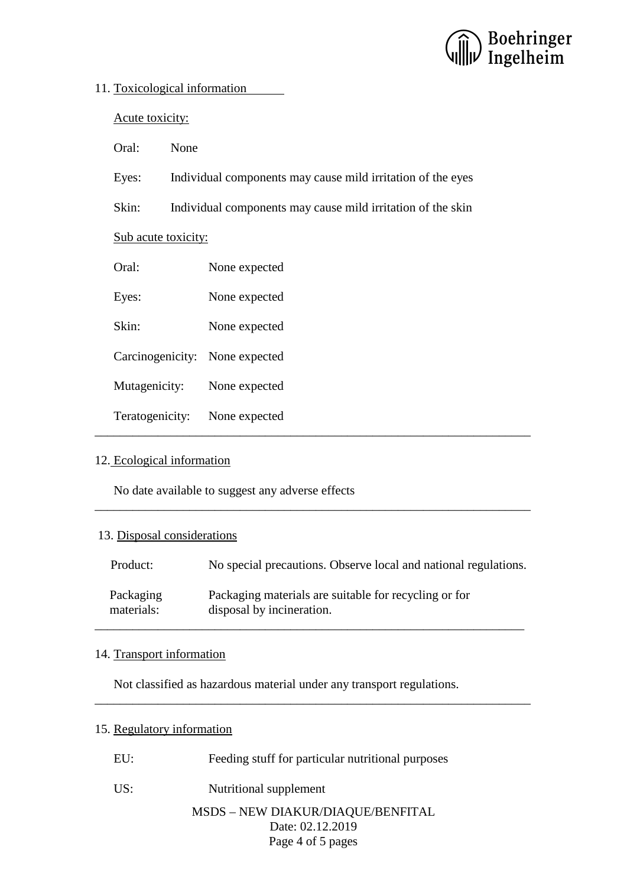

#### 11. Toxicological information

Acute toxicity:

Oral: None

Eyes: Individual components may cause mild irritation of the eyes

Skin: Individual components may cause mild irritation of the skin

Sub acute toxicity:

| Oral:                          | None expected |
|--------------------------------|---------------|
| Eyes:                          | None expected |
| Skin:                          | None expected |
| Carcinogenicity: None expected |               |
| Mutagenicity:                  | None expected |
| Teratogenicity:                | None expected |

## 12. Ecological information

No date available to suggest any adverse effects

## 13. Disposal considerations

| Product:   | No special precautions. Observe local and national regulations. |
|------------|-----------------------------------------------------------------|
| Packaging  | Packaging materials are suitable for recycling or for           |
| materials: | disposal by incineration.                                       |

\_\_\_\_\_\_\_\_\_\_\_\_\_\_\_\_\_\_\_\_\_\_\_\_\_\_\_\_\_\_\_\_\_\_\_\_\_\_\_\_\_\_\_\_\_\_\_\_\_\_\_\_\_\_\_\_\_\_\_\_\_\_\_\_\_\_\_\_\_

## 14. Transport information

Not classified as hazardous material under any transport regulations.

## 15. Regulatory information

| Feeding stuff for particular nutritional purposes<br>EU: |  |
|----------------------------------------------------------|--|
|----------------------------------------------------------|--|

US: Nutritional supplement

## MSDS – NEW DIAKUR/DIAQUE/BENFITAL Date: 02.12.2019 Page 4 of 5 pages

\_\_\_\_\_\_\_\_\_\_\_\_\_\_\_\_\_\_\_\_\_\_\_\_\_\_\_\_\_\_\_\_\_\_\_\_\_\_\_\_\_\_\_\_\_\_\_\_\_\_\_\_\_\_\_\_\_\_\_\_\_\_\_\_\_\_\_\_\_